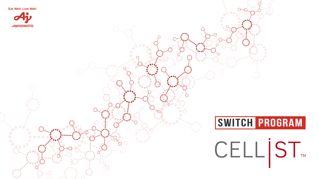Eat Well, Live Well.



# **Switch Program**

# CELL ST



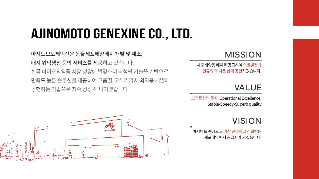## **Ajinomoto Genexine Co., Ltd.**

아지노모도제넥신은 동물세포배양배지 개발 및 제조, 배지 위탁생산 등의 서비스를 제공하고 있습니다. 한국 바이오의약품 시장 성장에 발맞추어 최첨단 기술을 기반으로 만족도 높은 솔루션을 제공하여 고품질, 고부가가치 의약품 개발에 공헌하는 기업으로 지속 성장 해 나가겠습니다.



아시아를 중심으로 가장 선호하고 신뢰받는 세포배양배지 공급자가 되겠습니다.

## VISION

고객중심의 문화, Operational Excellence, Stable-Speedy-Superb quality

## VALUE

세포배양용 배지를 공급하여 의료발전과 인류의 더 나은 삶에 공헌하겠습니다.

## MISSION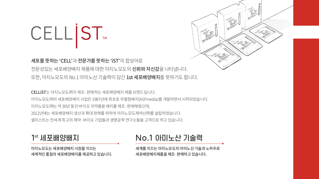아지노모도는 세포배양배지 시장을 이끄는 세계적인 품질의 세포배양배지를 제공하고 있습니다.

세계를 이끄는 아지노모도의 아미노산 기술과 노하우로 세포배양배지제품을 제조·판매하고 있습니다.



## No.1 아미노산 기술력

CELLiST는 아지노모도㈜가 제조·판매하는 세포배양배지 제품 브랜드입니다. 아지노모도㈜의 세포배양배지 사업은 1987년에 최초로 무혈청배지(ASFmedia)를 개발하면서 시작되었습니다. 아지노모도㈜는 약 30년 동안 바이오 의약품용 배지를 제조·판매해왔으며, 2012년에는 세포배양배지 생산과 확대 판매를 위하여 아지노모도제넥신㈜를 설립하였습니다. 셀리스트는 전세계 최고의 제약·바이오 기업들과 생명공학 연구소들을 고객으로 하고 있습니다.

## 1st 세포배양배지

# CELIST.

세포를 뜻하는 'CELL'과 전문가를 뜻하는 'iST'의 합성어로 전문성있는 세포배양배지 제품에 대한 아지노모도의 신뢰와 자신감을 나타냅니다. 또한, 아지노모도의 No.1 아미노산 기술력이 담긴 1st 세포배양배지를 뜻하기도 합니다.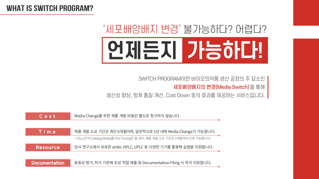## **WHAT IS SWITCH PROGRAM?**

# '세포배양배지 변경' 볼가능하다? 어렵다? 언제든지 가능하다!

SWITCH PROGRAM이란 바이오의약품 생산 공정의 주 요소인 세포배양배지의 변경(Media Switch)을 통해 생산성 향상, 항체 품질 개선, Cost Down 등의 효과를 제공하는 서비스입니다.

| $C$ o s $t$          | Media Change를 위한 제품 개발 비용은 별도로                  |
|----------------------|-------------------------------------------------|
|                      |                                                 |
| Time                 | 제품 개발 소요 기간은 최단 6개월이며, 일반적으.                    |
|                      | * CELLiST의 Catalog Media를 Fine Tuning만 할 경우, 제품 |
| Resource             | 당사 연구소에서 보유한 ambr, HPLC, UPLC 등 디               |
|                      |                                                 |
| <b>Documentation</b> | 동등성 평가, 허가 기관에 조성 직접 제출 등 Docu                  |

청구하지 않습니다.

로 1년 내에 Media Change가 가능합니다. 뚬 개발 소요 기간은 3개월까지 단축 가능합니다.

다양한 기기를 활용해 실험을 지원합니다.

동등성 평가, 허가 기관에 조성 직접 제출 등 Documentation Filing 시 적극 지원합니다.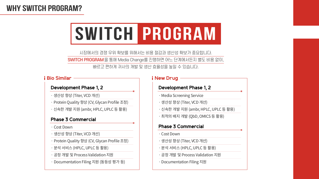

시장에서의 경쟁 우위 확보를 위해서는 비용 절감과 생산성 확보가 중요합니다. 빠르고 편하게 귀사의 개발 및 생산 효율성을 높일 수 있습니다.

SWITCH PROGRAM을 통해 Media Change를 진행하면 어느 단계에서든지 별도 비용 없이,

- · Media Screening Service
- · 생산성�향상 (Titer, VCD 개선)
- · 신속한 개발 지원 (ambr, HPLC, UPLC 등 활용)
- $\cdot$  최적의 배지 개발 (QbD, OMICS 등 활용)

## **WHY SWITCH PROGRAM?**

#### **Development Phase 1, 2**

#### **Phase 3 Commercial**

#### **New Drug**

- · Cost Down
- · 생산성�향상 (Titer, VCD 개선)
- · Protein Quality 향상 (CV, Glycan Profile 조정)
- · 분석 서비스 (HPLC, UPLC 등 활용)
- · 공정 개발 및 Process Validation 지원
- · Documentation Filing 지원 (동등성 평가 등)

- · Cost Down
- · 생산성�향상 (Titer, VCD 개선)
- · 분석 서비스 (HPLC, UPLC 등 활용)
- · 공정 개발 및 Process Validation 지원
- · Documentation Filing 지원

#### **Development Phase 1, 2**

- 생산성 향상 (Titer, VCD 개선)
- · Protein Quality 향상 (CV, Glycan Profile 조정)
- ㆍ신속한 개발 지원 (ambr, HPLC, UPLC 등 활용)

#### **Phase 3 Commercial**

#### **Bio Similar**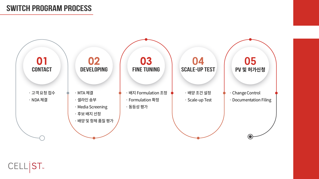## **SWITCh PROGRAM PROCESS**



## CELL ST

- · Change Control
- · Documentation Filing

## 04

· 배양 조건 설정

· Scale-up Test

05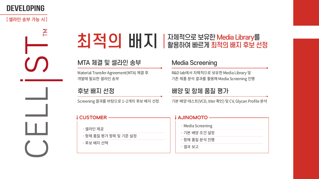## **DEVELOPING**

### [ 셀라인 송부 가능 시 ]

 $\sum$ 

## MTA 체결 및 셀라인 송부

Material Transfer Agreement(MTA) 체결 후 개발에 필요한 셀라인 송부

## 후보 배지 선정

Screening 결과를 바탕으로 1~2개의 후보 배지 선정 기본 배양 테스트(VCD, titer 확인) 및 CV, Glycan Profile 분석

### **CUSTOMER**

- · 셀라인 제공
- · 항체 품질 평가 항목 및 기준 설정
- · 후보 배지 선택

## 치적이 배지 생활해해 보기 전쟁 프로그램 프로그램

### **Media Screening**

R&D lab에서 자체적으로 보유한 Media Library 및 기존 제품 분석 결과를 활용해 Media Screening 진행

## 배양 및 항체 품질 평가

### **i AJINOMOTO** · Media Screening · 기본 배양 조건 설정 · 항체 품질 분석 진행 ㆍ결과 보고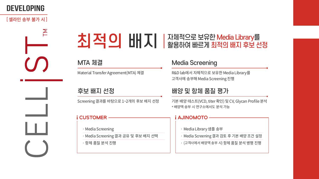## **DEVELOPING**

### [ 셀라인 송부 불가 시 ]



## MTA 체결

Material Transfer Agreement(MTA) 체결

## 후보 배지 선정

Screening 결과를 바탕으로 1~2개의 후보 배지 선정 기본 배양 테스트(VCD, titer 확인) 및 CV, Glycan Profile 분석 \* 배양액 송부 시 연구소에서도 분석 가능

### **CUSTOMER**

- · Media Screening
- · Media Screening 결과 공유 및 후보 배지 선택
- ㆍ항체 품질 분석 진행

## 치적이 배지 / 캠프 활용하여 빠르게 최적의 배지 후보 선정

### **Media Screening**

R&D lab에서 자체적으로 보유한 Media Library를 고객사에 송부해 Media Screening 진행

### 배양 및 항체 품질 평가

- · Media Library 샘플 송부
- · Media Screening 결과 검토 후 기본 배양 조건 설정
- · (고객사에서 배양액 송부 시) 항체 품질 분석 병행 진행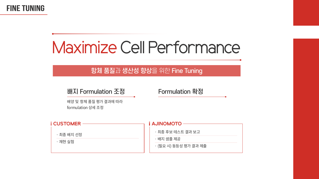## **FINE TUNING**

## **Maximize Cell Performance**

## 항체 품질과 생산성 향상을 위한 Fine Tuning

## 배지 Formulation 조정

배양 및 항체 품질 평가 결과에 따라 formulation 상세 조정



### Formulation 확정

- · 최종 후보 테스트 결과 보고
- · 배지 샘플 제공
- · (필요 시) 동등성 평가 결과 제출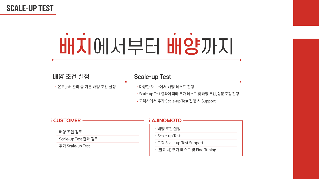## **SCALE-UP TEST**

# 배지에서부터 배양까지

## 배양 조건 설정

• 온도, pH 관리 등 기본 배양 조건 설정

### **Scale-up Test**

- 다양한 Scale에서 배양 테스트 진행
- Scale-up Test 결과에 따라 추가 테스트 및 배양 조건, 성분 조정 진행
- 고객사에서 추가 Scale-up Test 진행 시 Support



- · 배양 조건 설정
- · Scale-up Test
- 고객 Scale-up Test Support
- · (필요 시) 추가 테스트 및 Fine Tuning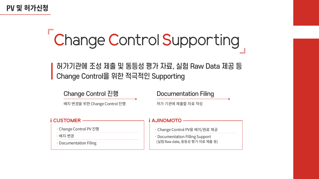## PV 및 허가신청

# Change Control Supporting

## 허가기관에 조성 제출 및 동등성 평가 자료, 실험 Raw Data 제공 등 Change Control을 위한 적극적인 Supporting

## Change Control 진행

배지 변경을 위한 Change Control 진행

#### **CUSTOMER**

- Change Control PV 진행
- · 배지 변경
- · Documentation Filing

### **Documentation Filing**

허가 기관에 제출할 자료 작성

- · Change Control PV용 배지/원료 제공
- · Documentation Filling Support (실험 Raw data, 동등성 평가 자료 제출 등)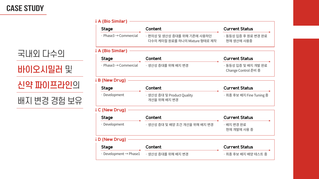## **CASE STUDY**

## 국내외 다수의 바이오시밀러 및 신약 파이프라인의 배지 변경 경험 보유

#### i A (Bio Similar)



#### i A

| <b>Stage</b>                            | Content                                                      | <b>Current Status</b>                                       |  |  |
|-----------------------------------------|--------------------------------------------------------------|-------------------------------------------------------------|--|--|
| $\cdot$ Phase3 $\rightarrow$ Commercial | ㆍ편의성 및 생산성 증대를 위해 기존에 사용하던<br>다수의 케미컬 원료를 하나의 Mixture 형태로 제작 | · 동등성 입증 후 원료<br>현재 생산에 사용중                                 |  |  |
| <b>A (Bio Similar)</b>                  |                                                              |                                                             |  |  |
| <b>Stage</b>                            | Content                                                      | <b>Current Status</b>                                       |  |  |
| $\cdot$ Phase3 $\rightarrow$ Commercial | ㆍ생산성 증대를 위해 배지 변경                                            | ㆍ동등성 입증 및 배지<br>Change Control 준                            |  |  |
| <b>B (New Drug)</b>                     |                                                              |                                                             |  |  |
| <b>Stage</b>                            | Content                                                      | <b>Current Status</b>                                       |  |  |
| · Development                           | · 생산성 증대 및 Product Quality<br>개선을 위해 배지 변경                   | · 최종 후보 배지 Fine                                             |  |  |
| i C (New Drug) –                        |                                                              |                                                             |  |  |
|                                         |                                                              | $\mathbf{L} = \mathbf{L} \cdot \mathbf{L} \cdot \mathbf{L}$ |  |  |

| <b>Stage</b>                            | Content                                                       |  |  |  |  |  |
|-----------------------------------------|---------------------------------------------------------------|--|--|--|--|--|
| $\cdot$ Phase3 $\rightarrow$ Commercial | · 편의성 및 생산성 증대를 위해 기존에 사용하던<br>다수의 케미컬 원료를 하나의 Mixture 형태로 제작 |  |  |  |  |  |
| (Bio Similar)                           |                                                               |  |  |  |  |  |
| <b>Stage</b>                            | Content                                                       |  |  |  |  |  |
| $\cdot$ Phase3 $\rightarrow$ Commercial | ㆍ생산성 증대를 위해 배지 변경                                             |  |  |  |  |  |
| (New Drug)                              |                                                               |  |  |  |  |  |
| <b>Stage</b>                            | Content                                                       |  |  |  |  |  |
| · Development                           | ㆍ생산성 증대 및 Product Quality<br>개선을 위해 배지 변경                     |  |  |  |  |  |
| <b>: (New Drug)</b>                     |                                                               |  |  |  |  |  |
|                                         |                                                               |  |  |  |  |  |

| <b>Stage</b>  |   |  |  |
|---------------|---|--|--|
| · Development | 샛 |  |  |

#### i D (New Drug)



### **Current Status**

동등성 입증 후 원료 변경 완료 현재 생산에 사용중

#### **Current Status**

동등성 입증 및 배지 개발 완료 Change Control 준비 중

#### 최종 후보 배지 Fine Tuning 중

#### ontent

방산성 증대 및 배양 조건 개선을 위해 배지 변경

#### **Current Status**

· 배지 변경 완료 현재 개발에 사용 중

#### Content

#### **Current Status** <u> Experimental de la propincia de la propincia de la propincia de la propincia de la propincia de la propincia de la propincia de la propincia de la propincia de la propincia de la propincia de la propincia de la propincia</u>

· 최종 후보 배지 배양 테스트 중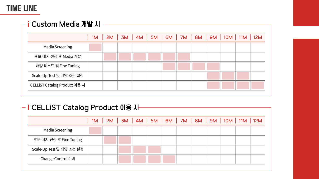## **TIME LINE**

## ┌ i Custom Media 개발 시 -

|                              | 1M |  |  |  |  | 2M   3M   4M   5M   6M   7M   8M   9M   10M   11M   12M |  |
|------------------------------|----|--|--|--|--|---------------------------------------------------------|--|
| <b>Media Screening</b>       |    |  |  |  |  |                                                         |  |
| 후보 배지 선정 후 Media 개발          |    |  |  |  |  |                                                         |  |
| 배양 테스트 및 Fine Tuning         |    |  |  |  |  |                                                         |  |
| Scale-Up Test 및 배양 조건 설정     |    |  |  |  |  |                                                         |  |
| CELLIST Catalog Product 이용 시 |    |  |  |  |  |                                                         |  |
|                              |    |  |  |  |  |                                                         |  |

## $-$  i CFI I iST Catalog Product  $0!B$  JH

| I ATTERNI AMMINĂ I I AMMA NIO VI |  |                                                              |  |  |  |  |  |  |  |  |  |  |
|----------------------------------|--|--------------------------------------------------------------|--|--|--|--|--|--|--|--|--|--|
|                                  |  | 1M   2M   3M   4M   5M   6M   7M   8M   9M   10M   11M   12M |  |  |  |  |  |  |  |  |  |  |
| <b>Media Screening</b>           |  |                                                              |  |  |  |  |  |  |  |  |  |  |
| 후보 배지 선정 후 Fine Tuning           |  |                                                              |  |  |  |  |  |  |  |  |  |  |
| Scale-Up Test 및 배양 조건 설정         |  |                                                              |  |  |  |  |  |  |  |  |  |  |
| Change Control 준비                |  |                                                              |  |  |  |  |  |  |  |  |  |  |